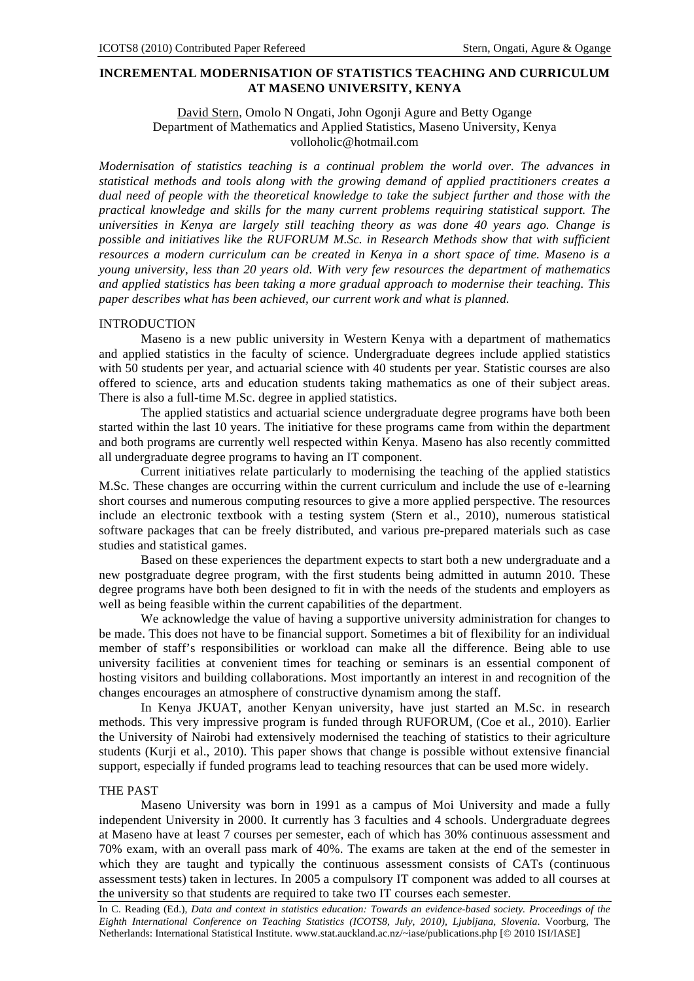# **INCREMENTAL MODERNISATION OF STATISTICS TEACHING AND CURRICULUM AT MASENO UNIVERSITY, KENYA**

## David Stern, Omolo N Ongati, John Ogonji Agure and Betty Ogange Department of Mathematics and Applied Statistics, Maseno University, Kenya volloholic@hotmail.com

*Modernisation of statistics teaching is a continual problem the world over. The advances in statistical methods and tools along with the growing demand of applied practitioners creates a dual need of people with the theoretical knowledge to take the subject further and those with the practical knowledge and skills for the many current problems requiring statistical support. The universities in Kenya are largely still teaching theory as was done 40 years ago. Change is possible and initiatives like the RUFORUM M.Sc. in Research Methods show that with sufficient resources a modern curriculum can be created in Kenya in a short space of time. Maseno is a young university, less than 20 years old. With very few resources the department of mathematics and applied statistics has been taking a more gradual approach to modernise their teaching. This paper describes what has been achieved, our current work and what is planned.* 

#### INTRODUCTION

Maseno is a new public university in Western Kenya with a department of mathematics and applied statistics in the faculty of science. Undergraduate degrees include applied statistics with 50 students per year, and actuarial science with 40 students per year. Statistic courses are also offered to science, arts and education students taking mathematics as one of their subject areas. There is also a full-time M.Sc. degree in applied statistics.

The applied statistics and actuarial science undergraduate degree programs have both been started within the last 10 years. The initiative for these programs came from within the department and both programs are currently well respected within Kenya. Maseno has also recently committed all undergraduate degree programs to having an IT component.

Current initiatives relate particularly to modernising the teaching of the applied statistics M.Sc. These changes are occurring within the current curriculum and include the use of e-learning short courses and numerous computing resources to give a more applied perspective. The resources include an electronic textbook with a testing system (Stern et al., 2010), numerous statistical software packages that can be freely distributed, and various pre-prepared materials such as case studies and statistical games.

Based on these experiences the department expects to start both a new undergraduate and a new postgraduate degree program, with the first students being admitted in autumn 2010. These degree programs have both been designed to fit in with the needs of the students and employers as well as being feasible within the current capabilities of the department.

We acknowledge the value of having a supportive university administration for changes to be made. This does not have to be financial support. Sometimes a bit of flexibility for an individual member of staff's responsibilities or workload can make all the difference. Being able to use university facilities at convenient times for teaching or seminars is an essential component of hosting visitors and building collaborations. Most importantly an interest in and recognition of the changes encourages an atmosphere of constructive dynamism among the staff.

In Kenya JKUAT, another Kenyan university, have just started an M.Sc. in research methods. This very impressive program is funded through RUFORUM, (Coe et al., 2010). Earlier the University of Nairobi had extensively modernised the teaching of statistics to their agriculture students (Kurji et al., 2010). This paper shows that change is possible without extensive financial support, especially if funded programs lead to teaching resources that can be used more widely.

### THE PAST

Maseno University was born in 1991 as a campus of Moi University and made a fully independent University in 2000. It currently has 3 faculties and 4 schools. Undergraduate degrees at Maseno have at least 7 courses per semester, each of which has 30% continuous assessment and 70% exam, with an overall pass mark of 40%. The exams are taken at the end of the semester in which they are taught and typically the continuous assessment consists of CATs (continuous assessment tests) taken in lectures. In 2005 a compulsory IT component was added to all courses at the university so that students are required to take two IT courses each semester.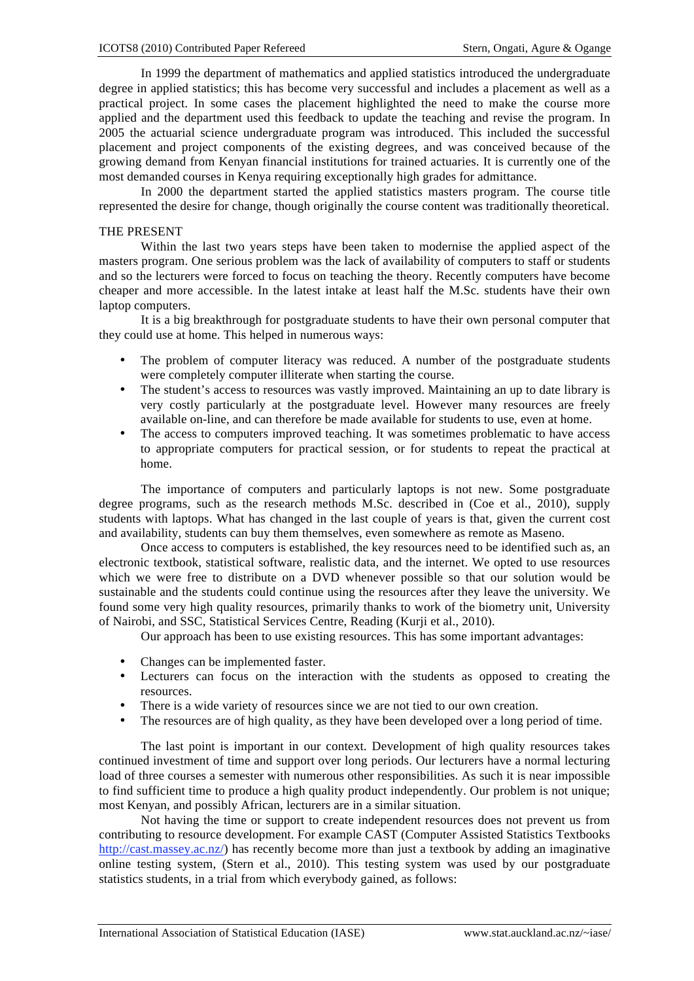In 1999 the department of mathematics and applied statistics introduced the undergraduate degree in applied statistics; this has become very successful and includes a placement as well as a practical project. In some cases the placement highlighted the need to make the course more applied and the department used this feedback to update the teaching and revise the program. In 2005 the actuarial science undergraduate program was introduced. This included the successful placement and project components of the existing degrees, and was conceived because of the growing demand from Kenyan financial institutions for trained actuaries. It is currently one of the most demanded courses in Kenya requiring exceptionally high grades for admittance.

In 2000 the department started the applied statistics masters program. The course title represented the desire for change, though originally the course content was traditionally theoretical.

### THE PRESENT

Within the last two years steps have been taken to modernise the applied aspect of the masters program. One serious problem was the lack of availability of computers to staff or students and so the lecturers were forced to focus on teaching the theory. Recently computers have become cheaper and more accessible. In the latest intake at least half the M.Sc. students have their own laptop computers.

It is a big breakthrough for postgraduate students to have their own personal computer that they could use at home. This helped in numerous ways:

- The problem of computer literacy was reduced. A number of the postgraduate students were completely computer illiterate when starting the course.
- The student's access to resources was vastly improved. Maintaining an up to date library is very costly particularly at the postgraduate level. However many resources are freely available on-line, and can therefore be made available for students to use, even at home.
- The access to computers improved teaching. It was sometimes problematic to have access to appropriate computers for practical session, or for students to repeat the practical at home.

The importance of computers and particularly laptops is not new. Some postgraduate degree programs, such as the research methods M.Sc. described in (Coe et al., 2010), supply students with laptops. What has changed in the last couple of years is that, given the current cost and availability, students can buy them themselves, even somewhere as remote as Maseno.

Once access to computers is established, the key resources need to be identified such as, an electronic textbook, statistical software, realistic data, and the internet. We opted to use resources which we were free to distribute on a DVD whenever possible so that our solution would be sustainable and the students could continue using the resources after they leave the university. We found some very high quality resources, primarily thanks to work of the biometry unit, University of Nairobi, and SSC, Statistical Services Centre, Reading (Kurji et al., 2010).

Our approach has been to use existing resources. This has some important advantages:

- Changes can be implemented faster.
- Lecturers can focus on the interaction with the students as opposed to creating the resources.
- There is a wide variety of resources since we are not tied to our own creation.
- The resources are of high quality, as they have been developed over a long period of time.

The last point is important in our context. Development of high quality resources takes continued investment of time and support over long periods. Our lecturers have a normal lecturing load of three courses a semester with numerous other responsibilities. As such it is near impossible to find sufficient time to produce a high quality product independently. Our problem is not unique; most Kenyan, and possibly African, lecturers are in a similar situation.

Not having the time or support to create independent resources does not prevent us from contributing to resource development. For example CAST (Computer Assisted Statistics Textbooks http://cast.massey.ac.nz/) has recently become more than just a textbook by adding an imaginative online testing system, (Stern et al., 2010). This testing system was used by our postgraduate statistics students, in a trial from which everybody gained, as follows: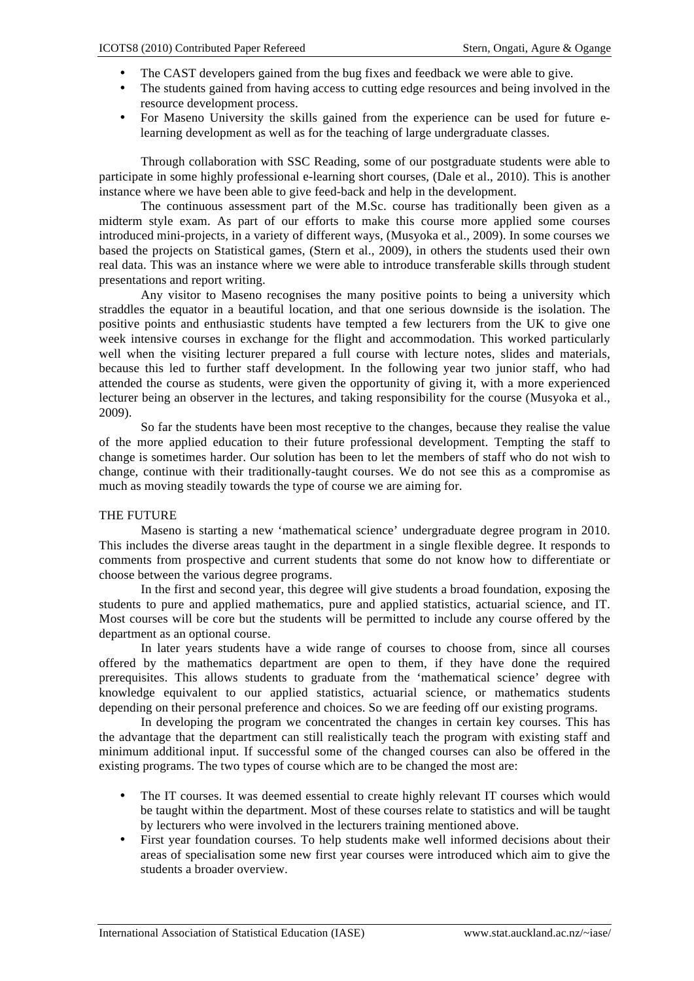- The CAST developers gained from the bug fixes and feedback we were able to give.
- The students gained from having access to cutting edge resources and being involved in the resource development process.
- For Maseno University the skills gained from the experience can be used for future elearning development as well as for the teaching of large undergraduate classes.

Through collaboration with SSC Reading, some of our postgraduate students were able to participate in some highly professional e-learning short courses, (Dale et al., 2010). This is another instance where we have been able to give feed-back and help in the development.

The continuous assessment part of the M.Sc. course has traditionally been given as a midterm style exam. As part of our efforts to make this course more applied some courses introduced mini-projects, in a variety of different ways, (Musyoka et al., 2009). In some courses we based the projects on Statistical games, (Stern et al., 2009), in others the students used their own real data. This was an instance where we were able to introduce transferable skills through student presentations and report writing.

Any visitor to Maseno recognises the many positive points to being a university which straddles the equator in a beautiful location, and that one serious downside is the isolation. The positive points and enthusiastic students have tempted a few lecturers from the UK to give one week intensive courses in exchange for the flight and accommodation. This worked particularly well when the visiting lecturer prepared a full course with lecture notes, slides and materials, because this led to further staff development. In the following year two junior staff, who had attended the course as students, were given the opportunity of giving it, with a more experienced lecturer being an observer in the lectures, and taking responsibility for the course (Musyoka et al., 2009).

So far the students have been most receptive to the changes, because they realise the value of the more applied education to their future professional development. Tempting the staff to change is sometimes harder. Our solution has been to let the members of staff who do not wish to change, continue with their traditionally-taught courses. We do not see this as a compromise as much as moving steadily towards the type of course we are aiming for.

## THE FUTURE

Maseno is starting a new 'mathematical science' undergraduate degree program in 2010. This includes the diverse areas taught in the department in a single flexible degree. It responds to comments from prospective and current students that some do not know how to differentiate or choose between the various degree programs.

In the first and second year, this degree will give students a broad foundation, exposing the students to pure and applied mathematics, pure and applied statistics, actuarial science, and IT. Most courses will be core but the students will be permitted to include any course offered by the department as an optional course.

In later years students have a wide range of courses to choose from, since all courses offered by the mathematics department are open to them, if they have done the required prerequisites. This allows students to graduate from the 'mathematical science' degree with knowledge equivalent to our applied statistics, actuarial science, or mathematics students depending on their personal preference and choices. So we are feeding off our existing programs.

In developing the program we concentrated the changes in certain key courses. This has the advantage that the department can still realistically teach the program with existing staff and minimum additional input. If successful some of the changed courses can also be offered in the existing programs. The two types of course which are to be changed the most are:

- The IT courses. It was deemed essential to create highly relevant IT courses which would be taught within the department. Most of these courses relate to statistics and will be taught by lecturers who were involved in the lecturers training mentioned above.
- First year foundation courses. To help students make well informed decisions about their areas of specialisation some new first year courses were introduced which aim to give the students a broader overview.